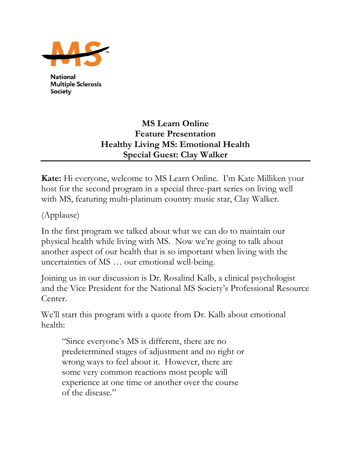

**National Multiple Sclerosis Society** 

## **MS Learn Online Feature Presentation Healthy Living MS: Emotional Health Special Guest: Clay Walker**

**Kate:** Hi everyone, welcome to MS Learn Online. I'm Kate Milliken your host for the second program in a special three-part series on living well with MS, featuring multi-platinum country music star, Clay Walker.

(Applause)

In the first program we talked about what we can do to maintain our physical health while living with MS. Now we're going to talk about another aspect of our health that is so important when living with the uncertainties of MS … our emotional well-being.

Joining us in our discussion is Dr. Rosalind Kalb, a clinical psychologist and the Vice President for the National MS Society's Professional Resource Center.

We'll start this program with a quote from Dr. Kalb about emotional health:

"Since everyone's MS is different, there are no predetermined stages of adjustment and no right or wrong ways to feel about it. However, there are some very common reactions most people will experience at one time or another over the course of the disease."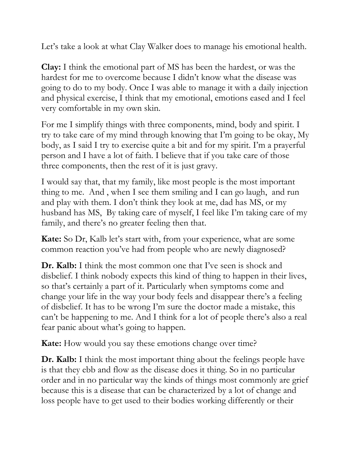Let's take a look at what Clay Walker does to manage his emotional health.

**Clay:** I think the emotional part of MS has been the hardest, or was the hardest for me to overcome because I didn't know what the disease was going to do to my body. Once I was able to manage it with a daily injection and physical exercise, I think that my emotional, emotions eased and I feel very comfortable in my own skin.

For me I simplify things with three components, mind, body and spirit. I try to take care of my mind through knowing that I'm going to be okay, My body, as I said I try to exercise quite a bit and for my spirit. I'm a prayerful person and I have a lot of faith. I believe that if you take care of those three components, then the rest of it is just gravy.

I would say that, that my family, like most people is the most important thing to me. And , when I see them smiling and I can go laugh, and run and play with them. I don't think they look at me, dad has MS, or my husband has MS, By taking care of myself, I feel like I'm taking care of my family, and there's no greater feeling then that.

**Kate:** So Dr, Kalb let's start with, from your experience, what are some common reaction you've had from people who are newly diagnosed?

**Dr. Kalb:** I think the most common one that I've seen is shock and disbelief. I think nobody expects this kind of thing to happen in their lives, so that's certainly a part of it. Particularly when symptoms come and change your life in the way your body feels and disappear there's a feeling of disbelief. It has to be wrong I'm sure the doctor made a mistake, this can't be happening to me. And I think for a lot of people there's also a real fear panic about what's going to happen.

**Kate:** How would you say these emotions change over time?

**Dr. Kalb:** I think the most important thing about the feelings people have is that they ebb and flow as the disease does it thing. So in no particular order and in no particular way the kinds of things most commonly are grief because this is a disease that can be characterized by a lot of change and loss people have to get used to their bodies working differently or their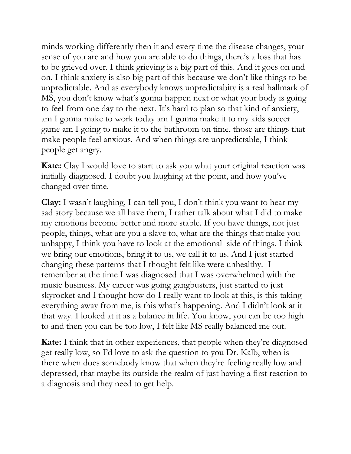minds working differently then it and every time the disease changes, your sense of you are and how you are able to do things, there's a loss that has to be grieved over. I think grieving is a big part of this. And it goes on and on. I think anxiety is also big part of this because we don't like things to be unpredictable. And as everybody knows unpredictabity is a real hallmark of MS, you don't know what's gonna happen next or what your body is going to feel from one day to the next. It's hard to plan so that kind of anxiety, am I gonna make to work today am I gonna make it to my kids soccer game am I going to make it to the bathroom on time, those are things that make people feel anxious. And when things are unpredictable, I think people get angry.

**Kate:** Clay I would love to start to ask you what your original reaction was initially diagnosed. I doubt you laughing at the point, and how you've changed over time.

**Clay:** I wasn't laughing, I can tell you, I don't think you want to hear my sad story because we all have them, I rather talk about what I did to make my emotions become better and more stable. If you have things, not just people, things, what are you a slave to, what are the things that make you unhappy, I think you have to look at the emotional side of things. I think we bring our emotions, bring it to us, we call it to us. And I just started changing these patterns that I thought felt like were unhealthy. I remember at the time I was diagnosed that I was overwhelmed with the music business. My career was going gangbusters, just started to just skyrocket and I thought how do I really want to look at this, is this taking everything away from me, is this what's happening. And I didn't look at it that way. I looked at it as a balance in life. You know, you can be too high to and then you can be too low, I felt like MS really balanced me out.

**Kate:** I think that in other experiences, that people when they're diagnosed get really low, so I'd love to ask the question to you Dr. Kalb, when is there when does somebody know that when they're feeling really low and depressed, that maybe its outside the realm of just having a first reaction to a diagnosis and they need to get help.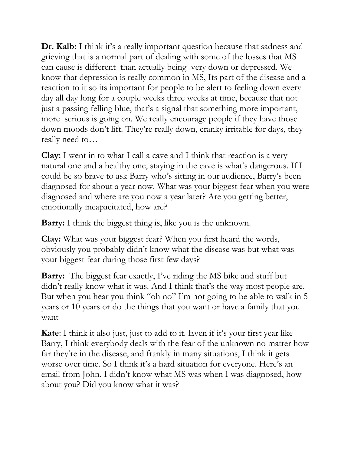**Dr. Kalb:** I think it's a really important question because that sadness and grieving that is a normal part of dealing with some of the losses that MS can cause is different than actually being very down or depressed. We know that depression is really common in MS, Its part of the disease and a reaction to it so its important for people to be alert to feeling down every day all day long for a couple weeks three weeks at time, because that not just a passing felling blue, that's a signal that something more important, more serious is going on. We really encourage people if they have those down moods don't lift. They're really down, cranky irritable for days, they really need to…

**Clay:** I went in to what I call a cave and I think that reaction is a very natural one and a healthy one, staying in the cave is what's dangerous. If I could be so brave to ask Barry who's sitting in our audience, Barry's been diagnosed for about a year now. What was your biggest fear when you were diagnosed and where are you now a year later? Are you getting better, emotionally incapacitated, how are?

**Barry:** I think the biggest thing is, like you is the unknown.

**Clay:** What was your biggest fear? When you first heard the words, obviously you probably didn't know what the disease was but what was your biggest fear during those first few days?

**Barry:** The biggest fear exactly, I've riding the MS bike and stuff but didn't really know what it was. And I think that's the way most people are. But when you hear you think "oh no" I'm not going to be able to walk in 5 years or 10 years or do the things that you want or have a family that you want

**Kate**: I think it also just, just to add to it. Even if it's your first year like Barry, I think everybody deals with the fear of the unknown no matter how far they're in the disease, and frankly in many situations, I think it gets worse over time. So I think it's a hard situation for everyone. Here's an email from John. I didn't know what MS was when I was diagnosed, how about you? Did you know what it was?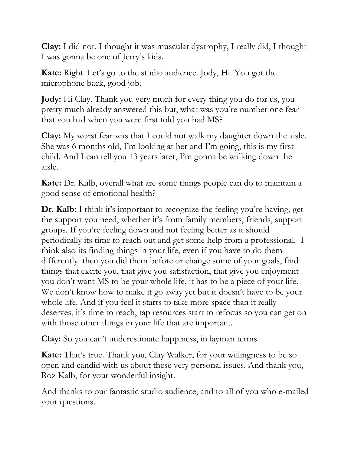**Clay:** I did not. I thought it was muscular dystrophy, I really did, I thought I was gonna be one of Jerry's kids.

**Kate:** Right. Let's go to the studio audience. Jody, Hi. You got the microphone back, good job.

**Jody:** Hi Clay. Thank you very much for every thing you do for us, you pretty much already answered this but, what was you're number one fear that you had when you were first told you had MS?

**Clay:** My worst fear was that I could not walk my daughter down the aisle. She was 6 months old, I'm looking at her and I'm going, this is my first child. And I can tell you 13 years later, I'm gonna be walking down the aisle.

**Kate:** Dr. Kalb, overall what are some things people can do to maintain a good sense of emotional health?

**Dr. Kalb:** I think it's important to recognize the feeling you're having, get the support you need, whether it's from family members, friends, support groups. If you're feeling down and not feeling better as it should periodically its time to reach out and get some help from a professional. I think also its finding things in your life, even if you have to do them differently then you did them before or change some of your goals, find things that excite you, that give you satisfaction, that give you enjoyment you don't want MS to be your whole life, it has to be a piece of your life. We don't know how to make it go away yet but it doesn't have to be your whole life. And if you feel it starts to take more space than it really deserves, it's time to reach, tap resources start to refocus so you can get on with those other things in your life that are important.

**Clay:** So you can't underestimate happiness, in layman terms.

**Kate:** That's true. Thank you, Clay Walker, for your willingness to be so open and candid with us about these very personal issues. And thank you, Roz Kalb, for your wonderful insight.

And thanks to our fantastic studio audience, and to all of you who e-mailed your questions.